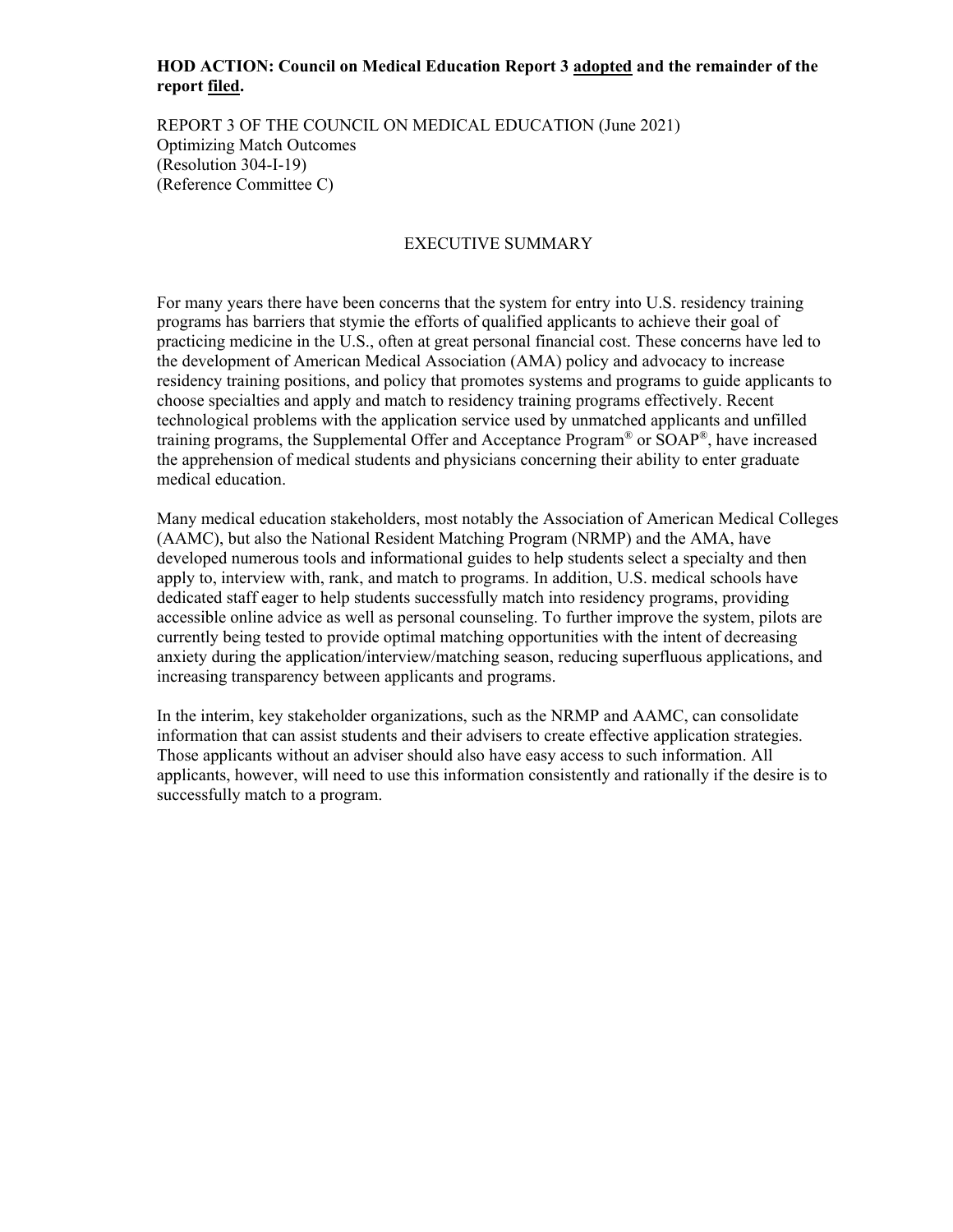### **HOD ACTION: Council on Medical Education Report 3 adopted and the remainder of the report filed.**

REPORT 3 OF THE COUNCIL ON MEDICAL EDUCATION (June 2021) Optimizing Match Outcomes (Resolution 304-I-19) (Reference Committee C)

#### EXECUTIVE SUMMARY

For many years there have been concerns that the system for entry into U.S. residency training programs has barriers that stymie the efforts of qualified applicants to achieve their goal of practicing medicine in the U.S., often at great personal financial cost. These concerns have led to the development of American Medical Association (AMA) policy and advocacy to increase residency training positions, and policy that promotes systems and programs to guide applicants to choose specialties and apply and match to residency training programs effectively. Recent technological problems with the application service used by unmatched applicants and unfilled training programs, the Supplemental Offer and Acceptance Program® or SOAP®, have increased the apprehension of medical students and physicians concerning their ability to enter graduate medical education.

Many medical education stakeholders, most notably the Association of American Medical Colleges (AAMC), but also the National Resident Matching Program (NRMP) and the AMA, have developed numerous tools and informational guides to help students select a specialty and then apply to, interview with, rank, and match to programs. In addition, U.S. medical schools have dedicated staff eager to help students successfully match into residency programs, providing accessible online advice as well as personal counseling. To further improve the system, pilots are currently being tested to provide optimal matching opportunities with the intent of decreasing anxiety during the application/interview/matching season, reducing superfluous applications, and increasing transparency between applicants and programs.

In the interim, key stakeholder organizations, such as the NRMP and AAMC, can consolidate information that can assist students and their advisers to create effective application strategies. Those applicants without an adviser should also have easy access to such information. All applicants, however, will need to use this information consistently and rationally if the desire is to successfully match to a program.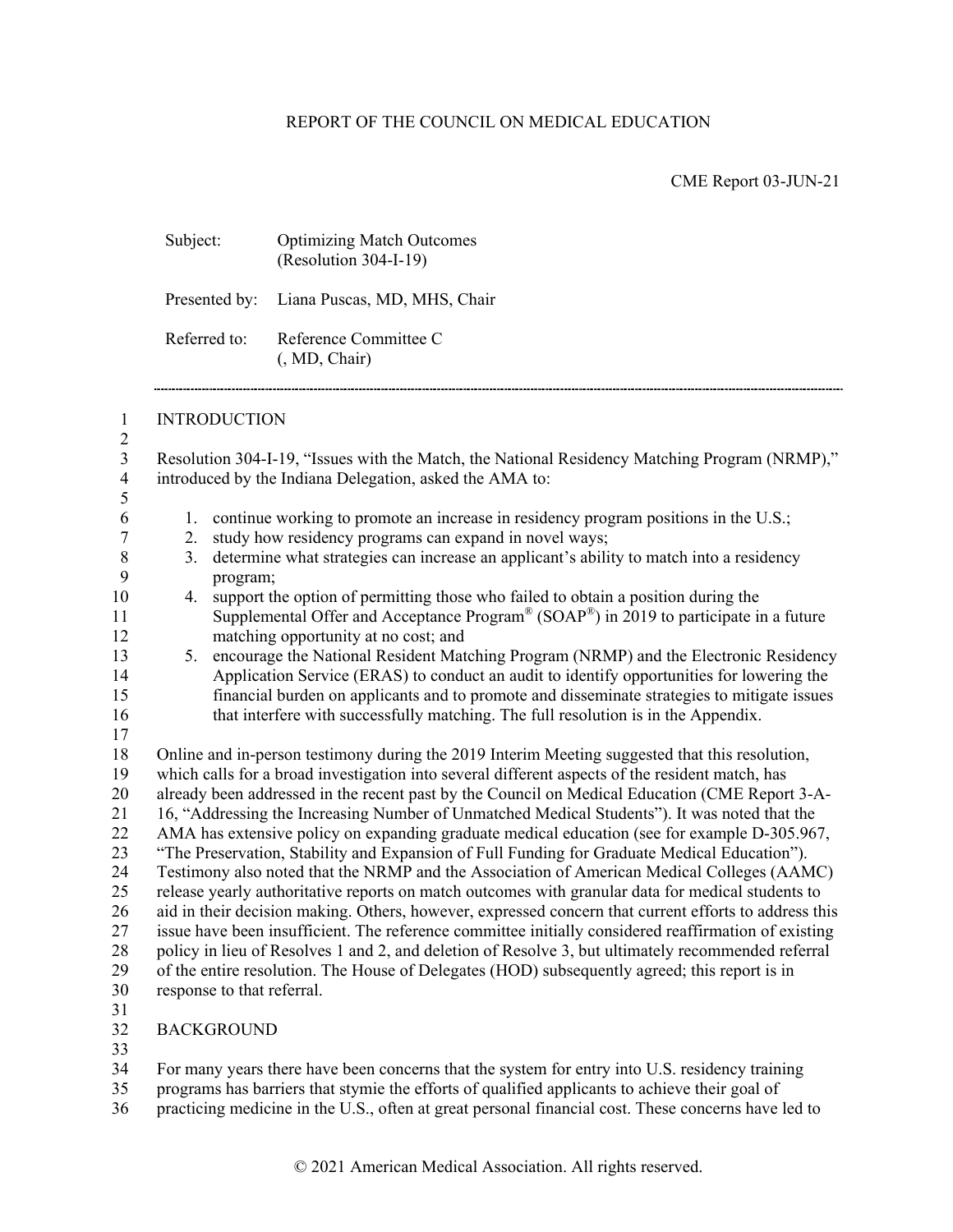# REPORT OF THE COUNCIL ON MEDICAL EDUCATION

|                                                    | Subject:                                                                                                                                                 | <b>Optimizing Match Outcomes</b><br>(Resolution 304-I-19)                                                                                         |
|----------------------------------------------------|----------------------------------------------------------------------------------------------------------------------------------------------------------|---------------------------------------------------------------------------------------------------------------------------------------------------|
|                                                    | Presented by:                                                                                                                                            | Liana Puscas, MD, MHS, Chair                                                                                                                      |
|                                                    | Referred to:                                                                                                                                             | Reference Committee C<br>(, MD, Chair)                                                                                                            |
| $\mathbf{1}$                                       | <b>INTRODUCTION</b>                                                                                                                                      |                                                                                                                                                   |
| $\overline{c}$<br>$\mathfrak{Z}$<br>$\overline{4}$ | Resolution 304-I-19, "Issues with the Match, the National Residency Matching Program (NRMP),"<br>introduced by the Indiana Delegation, asked the AMA to: |                                                                                                                                                   |
| 5<br>6                                             | 1.                                                                                                                                                       | continue working to promote an increase in residency program positions in the U.S.;                                                               |
| 7<br>8<br>9                                        | 2.<br>3.<br>program;                                                                                                                                     | study how residency programs can expand in novel ways;<br>determine what strategies can increase an applicant's ability to match into a residency |
| 10                                                 | 4.                                                                                                                                                       | support the option of permitting those who failed to obtain a position during the                                                                 |
| 11                                                 |                                                                                                                                                          | Supplemental Offer and Acceptance Program® ( $SOAP^{\circledast}$ ) in 2019 to participate in a future                                            |
| 12                                                 |                                                                                                                                                          | matching opportunity at no cost; and                                                                                                              |
| 13                                                 |                                                                                                                                                          | 5. encourage the National Resident Matching Program (NRMP) and the Electronic Residency                                                           |
| 14                                                 |                                                                                                                                                          | Application Service (ERAS) to conduct an audit to identify opportunities for lowering the                                                         |
| 15                                                 |                                                                                                                                                          | financial burden on applicants and to promote and disseminate strategies to mitigate issues                                                       |
| 16<br>17                                           |                                                                                                                                                          | that interfere with successfully matching. The full resolution is in the Appendix.                                                                |
| 18                                                 |                                                                                                                                                          | Online and in-person testimony during the 2019 Interim Meeting suggested that this resolution,                                                    |
| 19                                                 | which calls for a broad investigation into several different aspects of the resident match, has                                                          |                                                                                                                                                   |
| 20                                                 | already been addressed in the recent past by the Council on Medical Education (CME Report 3-A-                                                           |                                                                                                                                                   |
| 21                                                 | 16, "Addressing the Increasing Number of Unmatched Medical Students"). It was noted that the                                                             |                                                                                                                                                   |
| 22                                                 | AMA has extensive policy on expanding graduate medical education (see for example D-305.967,                                                             |                                                                                                                                                   |
| 23                                                 | "The Preservation, Stability and Expansion of Full Funding for Graduate Medical Education").                                                             |                                                                                                                                                   |
| 24                                                 | Testimony also noted that the NRMP and the Association of American Medical Colleges (AAMC)                                                               |                                                                                                                                                   |
| 25                                                 | release yearly authoritative reports on match outcomes with granular data for medical students to                                                        |                                                                                                                                                   |
| 26                                                 | aid in their decision making. Others, however, expressed concern that current efforts to address this                                                    |                                                                                                                                                   |
| $27\,$                                             | issue have been insufficient. The reference committee initially considered reaffirmation of existing                                                     |                                                                                                                                                   |
| 28                                                 | policy in lieu of Resolves 1 and 2, and deletion of Resolve 3, but ultimately recommended referral                                                       |                                                                                                                                                   |
| 29                                                 | of the entire resolution. The House of Delegates (HOD) subsequently agreed; this report is in                                                            |                                                                                                                                                   |
| 30                                                 | response to that referral.                                                                                                                               |                                                                                                                                                   |
| 31                                                 |                                                                                                                                                          |                                                                                                                                                   |
| 32                                                 | <b>BACKGROUND</b>                                                                                                                                        |                                                                                                                                                   |
| 33                                                 |                                                                                                                                                          |                                                                                                                                                   |
| 34                                                 | For many years there have been concerns that the system for entry into U.S. residency training                                                           |                                                                                                                                                   |
| 35                                                 | programs has barriers that stymie the efforts of qualified applicants to achieve their goal of                                                           |                                                                                                                                                   |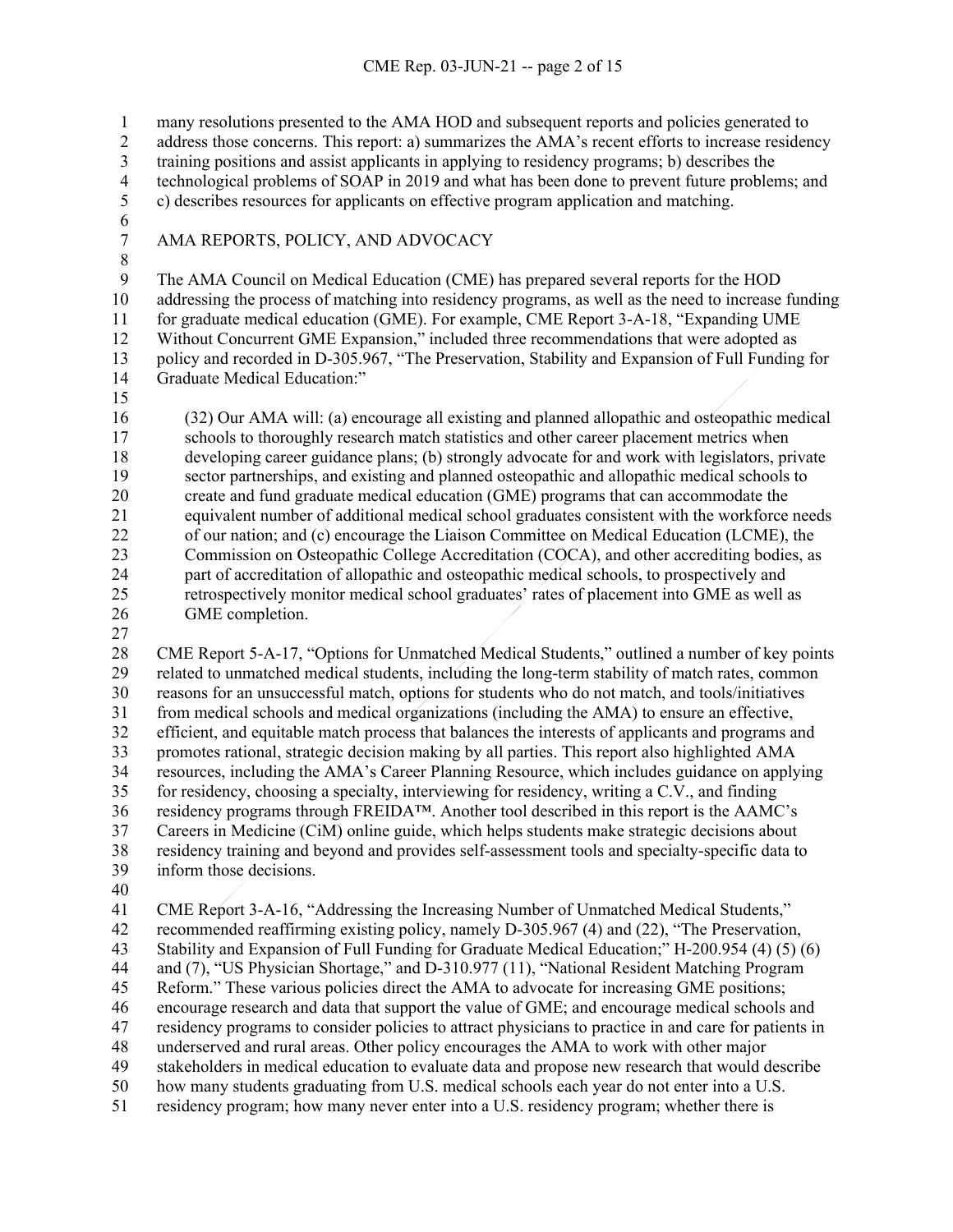many resolutions presented to the AMA HOD and subsequent reports and policies generated to

2 address those concerns. This report: a) summarizes the AMA's recent efforts to increase residency

3 training positions and assist applicants in applying to residency programs; b) describes the technological problems of SOAP in 2019 and what has been done to prevent future problem

4 technological problems of SOAP in 2019 and what has been done to prevent future problems; and c) describes resources for applicants on effective program application and matching.

- c) describes resources for applicants on effective program application and matching.
- $\frac{6}{7}$

AMA REPORTS, POLICY, AND ADVOCACY

8<br>9

The AMA Council on Medical Education (CME) has prepared several reports for the HOD addressing the process of matching into residency programs, as well as the need to increase funding for graduate medical education (GME). For example, CME Report 3-A-18, "Expanding UME Without Concurrent GME Expansion," included three recommendations that were adopted as policy and recorded in D-305.967, "The Preservation, Stability and Expansion of Full Funding for Graduate Medical Education:"

 (32) Our AMA will: (a) encourage all existing and planned allopathic and osteopathic medical schools to thoroughly research match statistics and other career placement metrics when developing career guidance plans; (b) strongly advocate for and work with legislators, private sector partnerships, and existing and planned osteopathic and allopathic medical schools to create and fund graduate medical education (GME) programs that can accommodate the equivalent number of additional medical school graduates consistent with the workforce needs of our nation; and (c) encourage the Liaison Committee on Medical Education (LCME), the Commission on Osteopathic College Accreditation (COCA), and other accrediting bodies, as part of accreditation of allopathic and osteopathic medical schools, to prospectively and retrospectively monitor medical school graduates' rates of placement into GME as well as GME completion.

 CME Report 5-A-17, "Options for Unmatched Medical Students," outlined a number of key points related to unmatched medical students, including the long-term stability of match rates, common reasons for an unsuccessful match, options for students who do not match, and tools/initiatives from medical schools and medical organizations (including the AMA) to ensure an effective, efficient, and equitable match process that balances the interests of applicants and programs and promotes rational, strategic decision making by all parties. This report also highlighted AMA resources, including the AMA's Career Planning Resource, which includes guidance on applying for residency, choosing a specialty, interviewing for residency, writing a C.V., and finding residency programs through FREIDA™. Another tool described in this report is the AAMC's Careers in Medicine (CiM) online guide, which helps students make strategic decisions about residency training and beyond and provides self-assessment tools and specialty-specific data to inform those decisions.

 CME Report 3-A-16, "Addressing the Increasing Number of Unmatched Medical Students," recommended reaffirming existing policy, namely D-305.967 (4) and (22), "The Preservation, Stability and Expansion of Full Funding for Graduate Medical Education;" H-200.954 (4) (5) (6) and (7), "US Physician Shortage," and D-310.977 (11), "National Resident Matching Program Reform." These various policies direct the AMA to advocate for increasing GME positions; 46 encourage research and data that support the value of GME; and encourage medical schools and<br>47 esidency programs to consider policies to attract physicians to practice in and care for patients in residency programs to consider policies to attract physicians to practice in and care for patients in underserved and rural areas. Other policy encourages the AMA to work with other major stakeholders in medical education to evaluate data and propose new research that would describe how many students graduating from U.S. medical schools each year do not enter into a U.S. residency program; how many never enter into a U.S. residency program; whether there is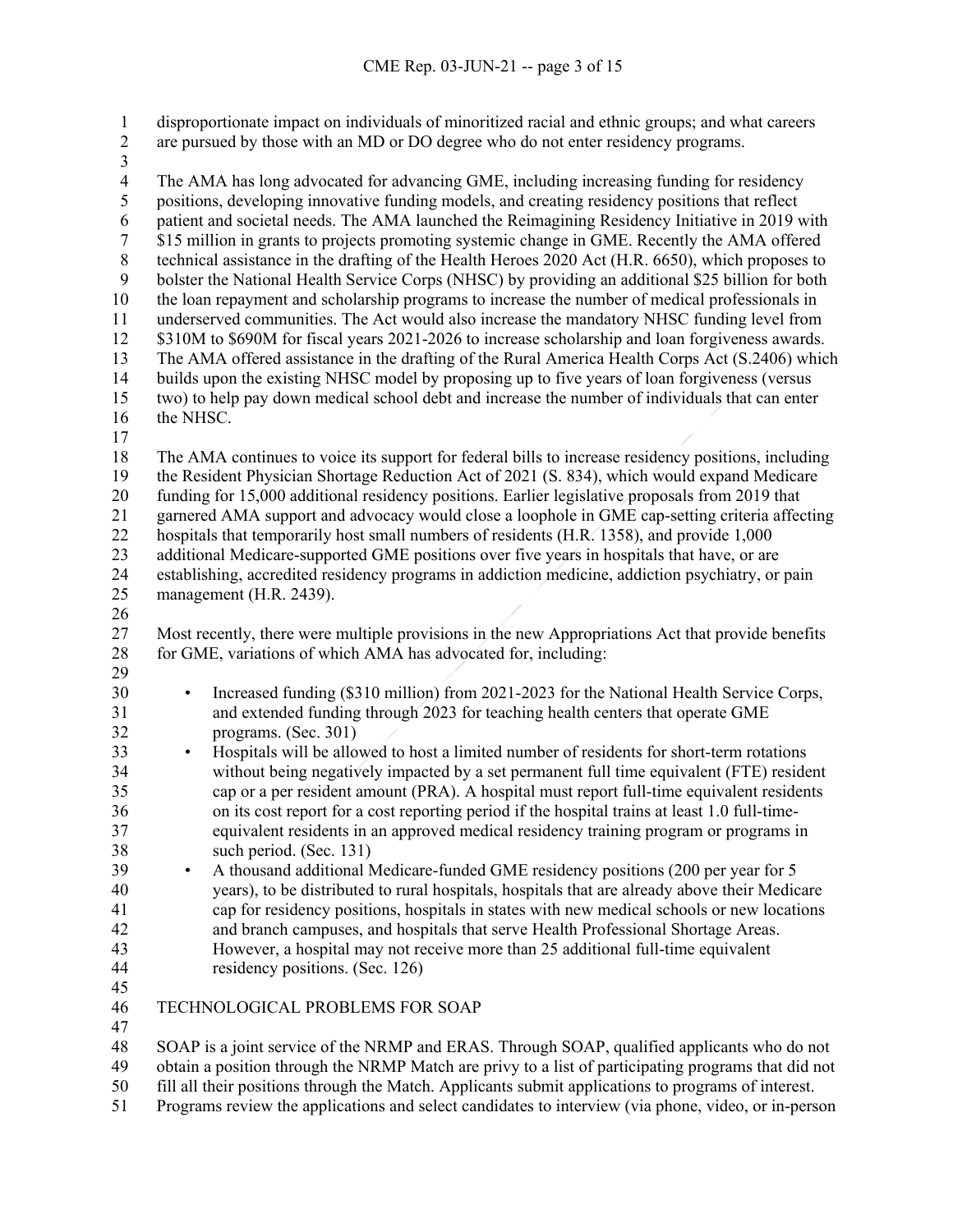disproportionate impact on individuals of minoritized racial and ethnic groups; and what careers

 are pursued by those with an MD or DO degree who do not enter residency programs.  $\frac{3}{4}$ 4 The AMA has long advocated for advancing GME, including increasing funding for residency<br>5 positions, developing innovative funding models, and creating residency positions that reflect positions, developing innovative funding models, and creating residency positions that reflect 6 patient and societal needs. The AMA launched the Reimagining Residency Initiative in 2019 with<br>
515 million in grants to projects promoting systemic change in GME. Recently the AMA offered \$15 million in grants to projects promoting systemic change in GME. Recently the AMA offered technical assistance in the drafting of the Health Heroes 2020 Act (H.R. 6650), which proposes to bolster the National Health Service Corps (NHSC) by providing an additional \$25 billion for both the loan repayment and scholarship programs to increase the number of medical professionals in underserved communities. The Act would also increase the mandatory NHSC funding level from 12 \$310M to \$690M for fiscal years 2021-2026 to increase scholarship and loan forgiveness awards. The AMA offered assistance in the drafting of the Rural America Health Corps Act (S.2406) which builds upon the existing NHSC model by proposing up to five years of loan forgiveness (versus two) to help pay down medical school debt and increase the number of individuals that can enter the NHSC. The AMA continues to voice its support for federal bills to increase residency positions, including the Resident Physician Shortage Reduction Act of 2021 (S. 834), which would expand Medicare funding for 15,000 additional residency positions. Earlier legislative proposals from 2019 that garnered AMA support and advocacy would close a loophole in GME cap-setting criteria affecting hospitals that temporarily host small numbers of residents (H.R. 1358), and provide 1,000 additional Medicare-supported GME positions over five years in hospitals that have, or are establishing, accredited residency programs in addiction medicine, addiction psychiatry, or pain management (H.R. 2439). Most recently, there were multiple provisions in the new Appropriations Act that provide benefits 28 for GME, variations of which AMA has advocated for, including: • Increased funding (\$310 million) from 2021-2023 for the National Health Service Corps, and extended funding through 2023 for teaching health centers that operate GME programs. (Sec. 301) • Hospitals will be allowed to host a limited number of residents for short-term rotations without being negatively impacted by a set permanent full time equivalent (FTE) resident cap or a per resident amount (PRA). A hospital must report full-time equivalent residents on its cost report for a cost reporting period if the hospital trains at least 1.0 full-time- equivalent residents in an approved medical residency training program or programs in such period. (Sec. 131) • A thousand additional Medicare-funded GME residency positions (200 per year for 5 years), to be distributed to rural hospitals, hospitals that are already above their Medicare cap for residency positions, hospitals in states with new medical schools or new locations and branch campuses, and hospitals that serve Health Professional Shortage Areas. However, a hospital may not receive more than 25 additional full-time equivalent residency positions. (Sec. 126) 

TECHNOLOGICAL PROBLEMS FOR SOAP

SOAP is a joint service of the NRMP and ERAS. Through SOAP, qualified applicants who do not

obtain a position through the NRMP Match are privy to a list of participating programs that did not

fill all their positions through the Match. Applicants submit applications to programs of interest.

Programs review the applications and select candidates to interview (via phone, video, or in-person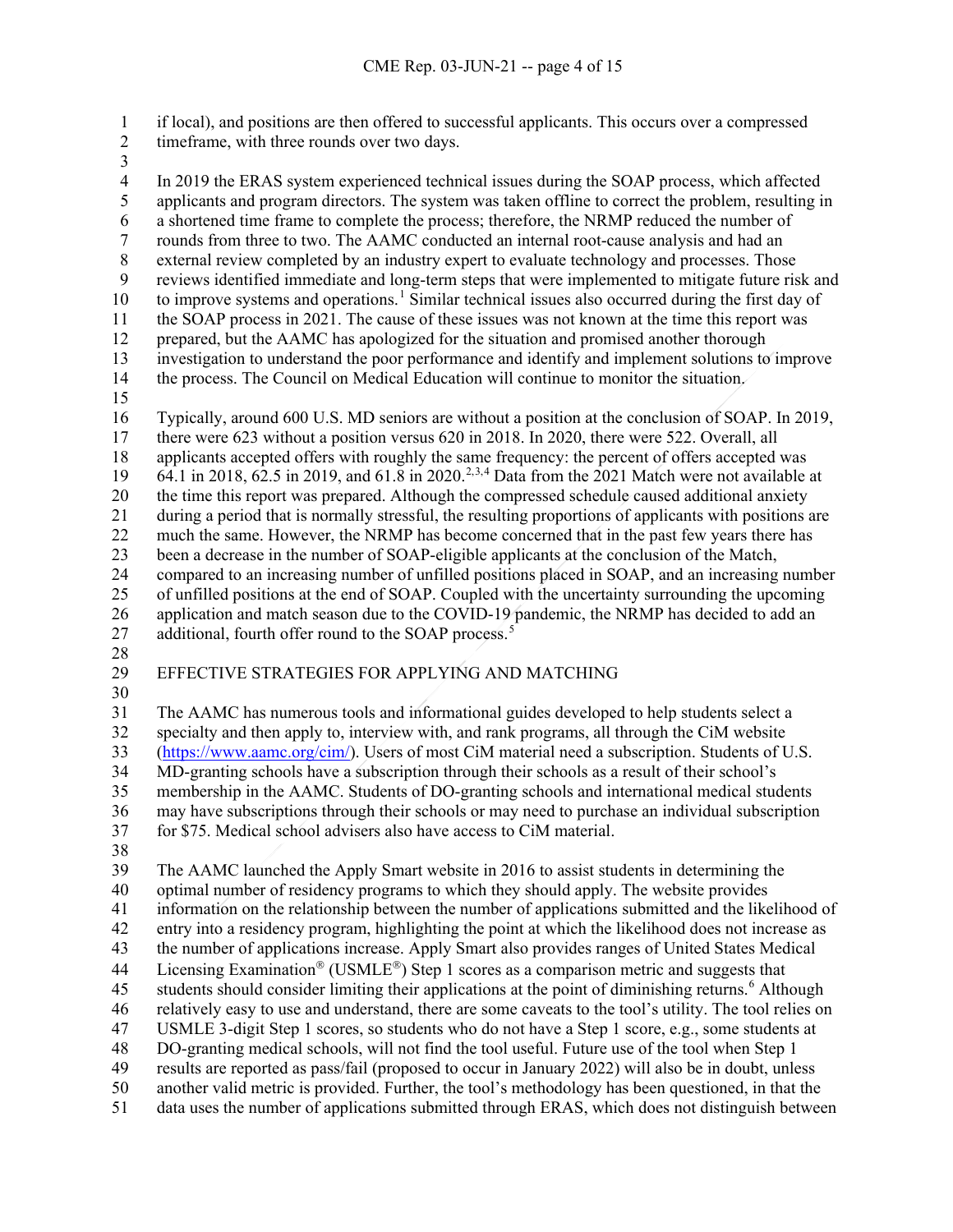if local), and positions are then offered to successful applicants. This occurs over a compressed 2 timeframe, with three rounds over two days.

 $\frac{3}{4}$ In 2019 the ERAS system experienced technical issues during the SOAP process, which affected<br>5 applicants and program directors. The system was taken offline to correct the problem, resulting is applicants and program directors. The system was taken offline to correct the problem, resulting in a shortened time frame to complete the process; therefore, the NRMP reduced the number of rounds from three to two. The AAMC conducted an internal root-cause analysis and had an external review completed by an industry expert to evaluate technology and processes. Those reviews identified immediate and long-term steps that were implemented to mitigate future risk and  $10$  to improve systems and operations.<sup>1</sup> Similar technical issues also occurred during the first day of the SOAP process in 2021. The cause of these issues was not known at the time this report was prepared, but the AAMC has apologized for the situation and promised another thorough investigation to understand the poor performance and identify and implement solutions to improve the process. The Council on Medical Education will continue to monitor the situation. Typically, around 600 U.S. MD seniors are without a position at the conclusion of SOAP. In 2019, there were 623 without a position versus 620 in 2018. In 2020, there were 522. Overall, all applicants accepted offers with roughly the same frequency: the percent of offers accepted was 19 64.1 in [2](#page-15-1)018, 62.5 in 2019, and 61.8 in 2020.<sup>2,[3,](#page-15-2)[4](#page-15-3)</sup> Data from the 2021 Match were not available at the time this report was prepared. Although the compressed schedule caused additional anxiety during a period that is normally stressful, the resulting proportions of applicants with positions are much the same. However, the NRMP has become concerned that in the past few years there has been a decrease in the number of SOAP-eligible applicants at the conclusion of the Match, compared to an increasing number of unfilled positions placed in SOAP, and an increasing number of unfilled positions at the end of SOAP. Coupled with the uncertainty surrounding the upcoming application and match season due to the COVID-19 pandemic, the NRMP has decided to add an 27 additional, fourth offer round to the SOAP process.<sup>[5](#page-15-4)</sup> 

## EFFECTIVE STRATEGIES FOR APPLYING AND MATCHING

 The AAMC has numerous tools and informational guides developed to help students select a specialty and then apply to, interview with, and rank programs, all through the CiM website [\(https://www.aamc.org/cim/\)](https://www.aamc.org/cim/). Users of most CiM material need a subscription. Students of U.S. MD-granting schools have a subscription through their schools as a result of their school's membership in the AAMC. Students of DO-granting schools and international medical students may have subscriptions through their schools or may need to purchase an individual subscription for \$75. Medical school advisers also have access to CiM material.

 The AAMC launched the Apply Smart website in 2016 to assist students in determining the optimal number of residency programs to which they should apply. The website provides information on the relationship between the number of applications submitted and the likelihood of entry into a residency program, highlighting the point at which the likelihood does not increase as the number of applications increase. Apply Smart also provides ranges of United States Medical 44 Licensing Examination<sup>®</sup> (USMLE<sup>®</sup>) Step 1 scores as a comparison metric and suggests that 45 students should consider limiting their applications at the point of diminishing returns.<sup>[6](#page-15-5)</sup> Although relatively easy to use and understand, there are some caveats to the tool's utility. The tool relies on USMLE 3-digit Step 1 scores, so students who do not have a Step 1 score, e.g., some students at DO-granting medical schools, will not find the tool useful. Future use of the tool when Step 1 results are reported as pass/fail (proposed to occur in January 2022) will also be in doubt, unless another valid metric is provided. Further, the tool's methodology has been questioned, in that the data uses the number of applications submitted through ERAS, which does not distinguish between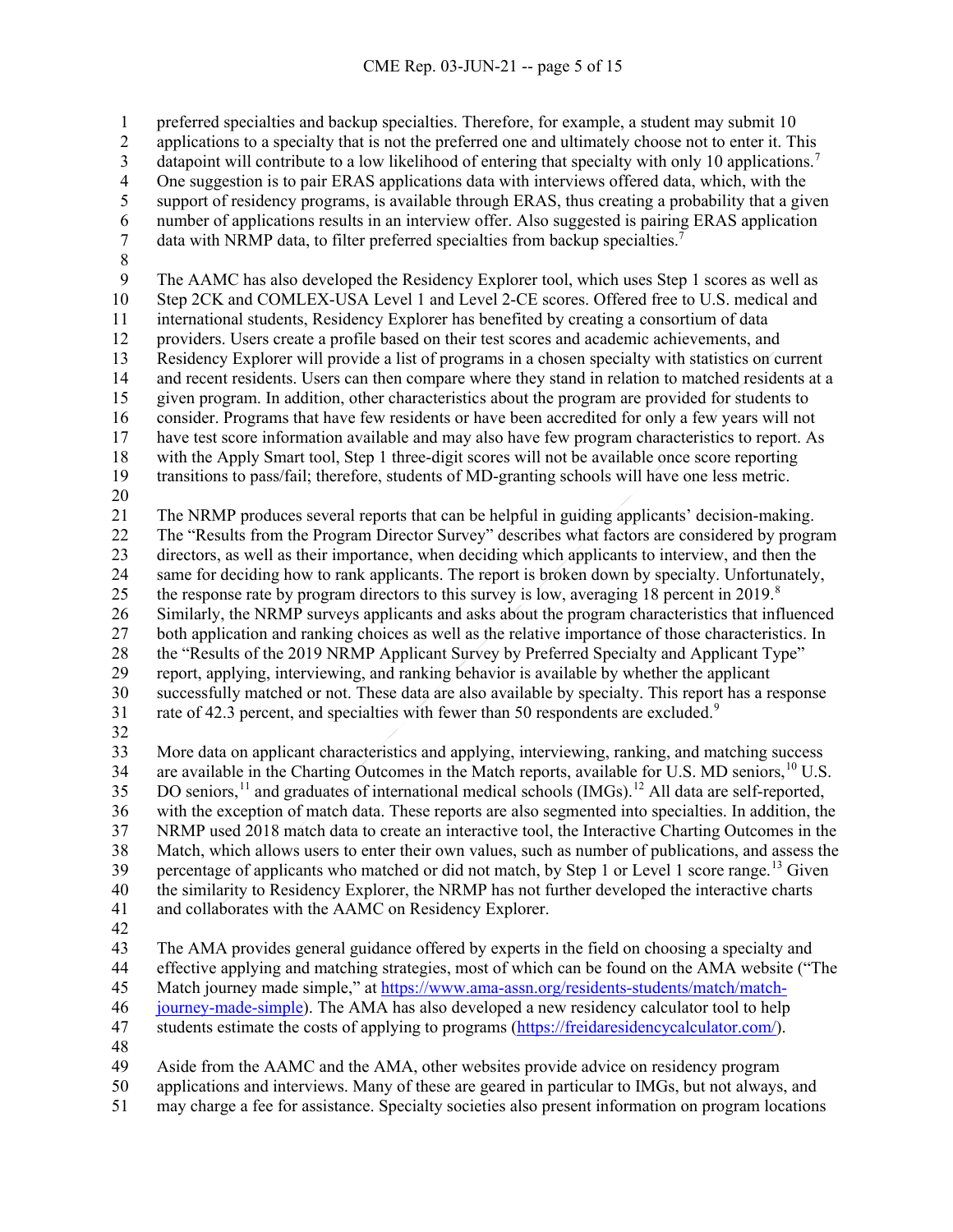preferred specialties and backup specialties. Therefore, for example, a student may submit 10

applications to a specialty that is not the preferred one and ultimately choose not to enter it. This

datapoint will contribute to a low likelihood of entering that specialty with only 10 applications.<sup>[7](#page-15-6)</sup><br>4 One suggestion is to pair ERAS applications data with interviews offered data, which, with the

4 One suggestion is to pair ERAS applications data with interviews offered data, which, with the support of residency programs, is available through ERAS, thus creating a probability that a giv support of residency programs, is available through ERAS, thus creating a probability that a given

6 number of applications results in an interview offer. Also suggested is pairing ERAS application<br>data with NRMP data, to filter preferred specialties from backup specialties.<sup>7</sup> data with NRMP data, to filter preferred specialties from backup specialties.<sup>7</sup>

8<br>9 The AAMC has also developed the Residency Explorer tool, which uses Step 1 scores as well as Step 2CK and COMLEX-USA Level 1 and Level 2-CE scores. Offered free to U.S. medical and international students, Residency Explorer has benefited by creating a consortium of data providers. Users create a profile based on their test scores and academic achievements, and Residency Explorer will provide a list of programs in a chosen specialty with statistics on current and recent residents. Users can then compare where they stand in relation to matched residents at a given program. In addition, other characteristics about the program are provided for students to consider. Programs that have few residents or have been accredited for only a few years will not have test score information available and may also have few program characteristics to report. As with the Apply Smart tool, Step 1 three-digit scores will not be available once score reporting transitions to pass/fail; therefore, students of MD-granting schools will have one less metric.

The NRMP produces several reports that can be helpful in guiding applicants' decision-making.

 The "Results from the Program Director Survey" describes what factors are considered by program directors, as well as their importance, when deciding which applicants to interview, and then the same for deciding how to rank applicants. The report is broken down by specialty. Unfortunately, 25 the response rate by program directors to this survey is low, averaging 1[8](#page-15-7) percent in 2019. Similarly, the NRMP surveys applicants and asks about the program characteristics that influenced

both application and ranking choices as well as the relative importance of those characteristics. In

the "Results of the 2019 NRMP Applicant Survey by Preferred Specialty and Applicant Type"

report, applying, interviewing, and ranking behavior is available by whether the applicant

successfully matched or not. These data are also available by specialty. This report has a response

31 rate of 42.3 percent, and specialties with fewer than 50 respondents are excluded.<sup>[9](#page-15-8)</sup>

 More data on applicant characteristics and applying, interviewing, ranking, and matching success 34 are available in the Charting Outcomes in the Match reports, available for U.S. MD seniors, <sup>[10](#page-15-9)</sup> U.S. DO seniors,<sup>[11](#page-15-10)</sup> and graduates of international medical schools (IMGs).<sup>[12](#page-15-11)</sup> All data are self-reported, with the exception of match data. These reports are also segmented into specialties. In addition, the NRMP used 2018 match data to create an interactive tool, the Interactive Charting Outcomes in the Match, which allows users to enter their own values, such as number of publications, and assess the 39 percentage of applicants who matched or did not match, by Step 1 or Level 1 score range.<sup>[13](#page-15-12)</sup> Given the similarity to Residency Explorer, the NRMP has not further developed the interactive charts and collaborates with the AAMC on Residency Explorer.

 The AMA provides general guidance offered by experts in the field on choosing a specialty and effective applying and matching strategies, most of which can be found on the AMA website ("The

Match journey made simple," at [https://www.ama-assn.org/residents-students/match/match-](https://www.ama-assn.org/residents-students/match/match-journey-made-simple)

[journey-made-simple\)](https://www.ama-assn.org/residents-students/match/match-journey-made-simple). The AMA has also developed a new residency calculator tool to help

students estimate the costs of applying to programs [\(https://freidaresidencycalculator.com/\)](https://freidaresidencycalculator.com/).

Aside from the AAMC and the AMA, other websites provide advice on residency program

applications and interviews. Many of these are geared in particular to IMGs, but not always, and

may charge a fee for assistance. Specialty societies also present information on program locations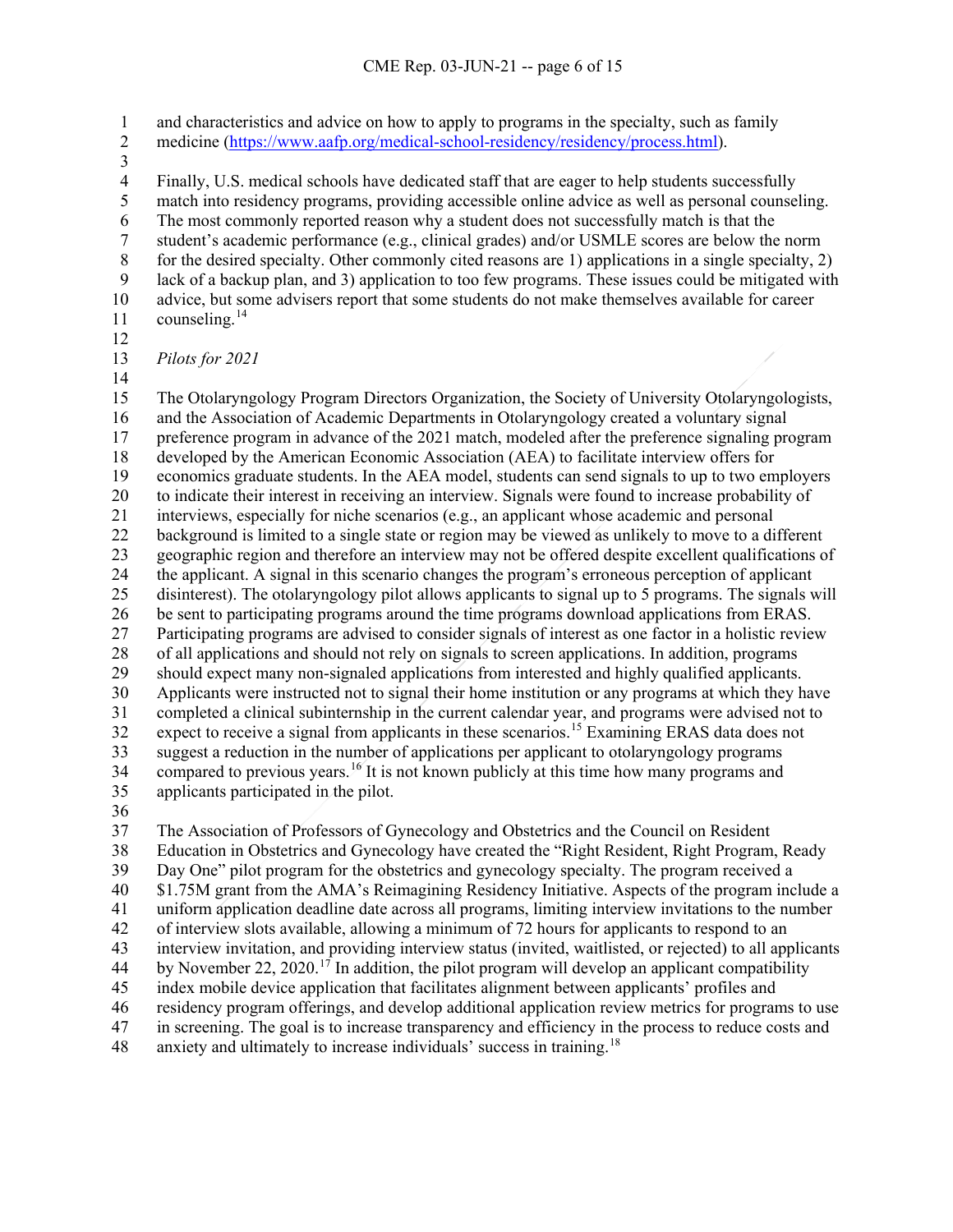and characteristics and advice on how to apply to programs in the specialty, such as family medicine [\(https://www.aafp.org/medical-school-residency/residency/process.html\)](https://www.aafp.org/medical-school-residency/residency/process.html).

 $\frac{3}{4}$ 4 Finally, U.S. medical schools have dedicated staff that are eager to help students successfully<br>5 match into residency programs, providing accessible online advice as well as personal counse match into residency programs, providing accessible online advice as well as personal counseling. 6 The most commonly reported reason why a student does not successfully match is that the student's academic performance (e.g., clinical grades) and/or USMLE scores are below the student's academic performance (e.g., clinical grades) and/or USMLE scores are below the norm for the desired specialty. Other commonly cited reasons are 1) applications in a single specialty, 2) lack of a backup plan, and 3) application to too few programs. These issues could be mitigated with advice, but some advisers report that some students do not make themselves available for career counseling.<sup>[14](#page-15-13)</sup> 

*Pilots for 2021*

 The Otolaryngology Program Directors Organization, the Society of University Otolaryngologists, and the Association of Academic Departments in Otolaryngology created a voluntary signal preference program in advance of the 2021 match, modeled after the preference signaling program developed by the American Economic Association (AEA) to facilitate interview offers for economics graduate students. In the AEA model, students can send signals to up to two employers to indicate their interest in receiving an interview. Signals were found to increase probability of interviews, especially for niche scenarios (e.g., an applicant whose academic and personal background is limited to a single state or region may be viewed as unlikely to move to a different geographic region and therefore an interview may not be offered despite excellent qualifications of the applicant. A signal in this scenario changes the program's erroneous perception of applicant disinterest). The otolaryngology pilot allows applicants to signal up to 5 programs. The signals will be sent to participating programs around the time programs download applications from ERAS. Participating programs are advised to consider signals of interest as one factor in a holistic review of all applications and should not rely on signals to screen applications. In addition, programs should expect many non-signaled applications from interested and highly qualified applicants. Applicants were instructed not to signal their home institution or any programs at which they have completed a clinical subinternship in the current calendar year, and programs were advised not to expect to receive a signal from applicants in these scenarios.<sup>[15](#page-15-14)</sup> Examining ERAS data does not suggest a reduction in the number of applications per applicant to otolaryngology programs compared to previous years.<sup>[16](#page-15-15)</sup> It is not known publicly at this time how many programs and applicants participated in the pilot.

 The Association of Professors of Gynecology and Obstetrics and the Council on Resident Education in Obstetrics and Gynecology have created the "Right Resident, Right Program, Ready Day One" pilot program for the obstetrics and gynecology specialty. The program received a \$1.75M grant from the AMA's Reimagining Residency Initiative. Aspects of the program include a uniform application deadline date across all programs, limiting interview invitations to the number of interview slots available, allowing a minimum of 72 hours for applicants to respond to an interview invitation, and providing interview status (invited, waitlisted, or rejected) to all applicants 44 by November 22, 2020.<sup>[17](#page-15-16)</sup> In addition, the pilot program will develop an applicant compatibility index mobile device application that facilitates alignment between applicants' profiles and residency program offerings, and develop additional application review metrics for programs to use in screening. The goal is to increase transparency and efficiency in the process to reduce costs and 48 anxiety and ultimately to increase individuals' success in training.<sup>[18](#page-15-17)</sup>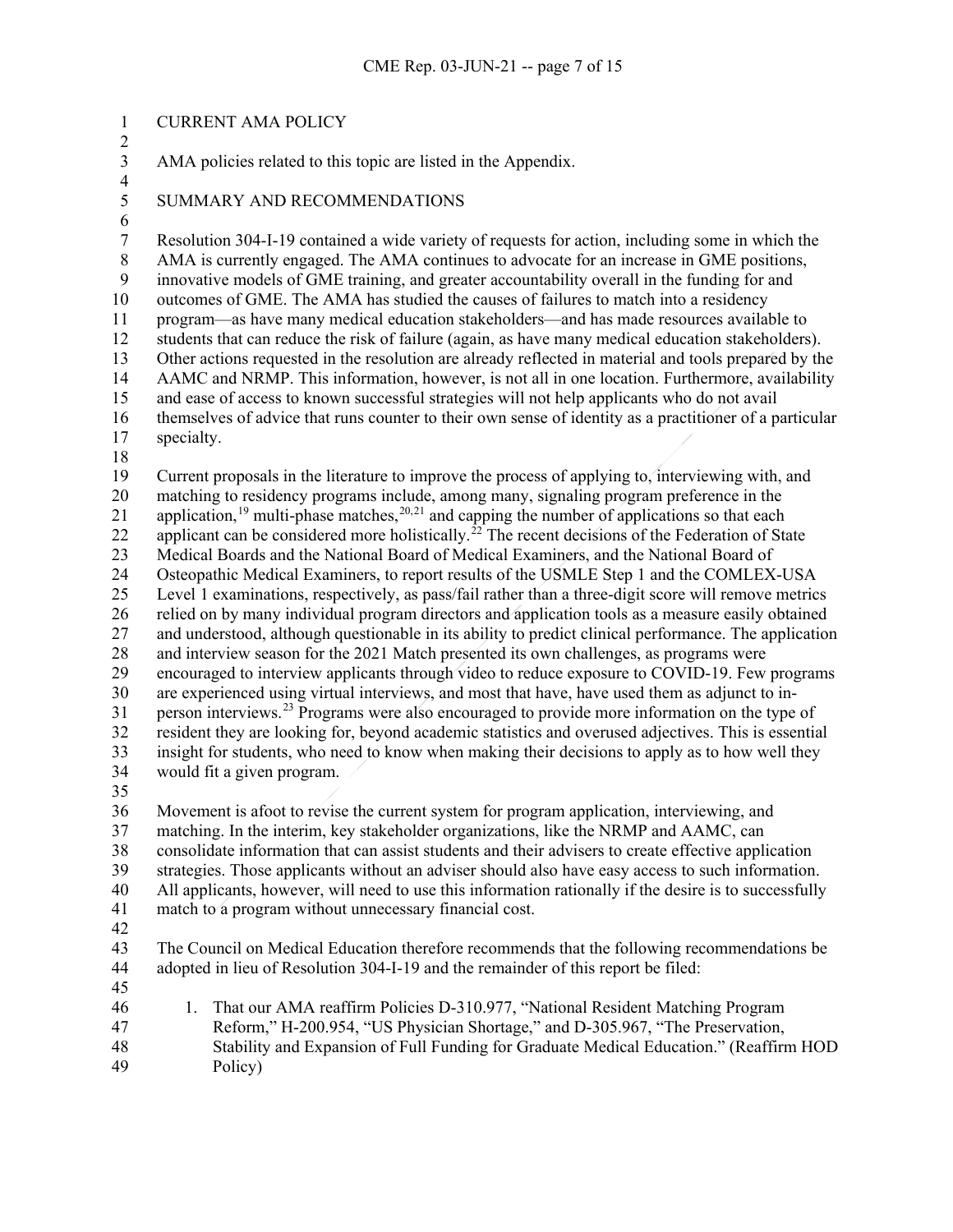# CURRENT AMA POLICY

AMA policies related to this topic are listed in the Appendix.

 $\frac{4}{5}$ 

 $\frac{2}{3}$ 

SUMMARY AND RECOMMENDATIONS

6<br>7 7 Resolution 304-I-19 contained a wide variety of requests for action, including some in which the<br>8 AMA is currently engaged. The AMA continues to advocate for an increase in GME positions, AMA is currently engaged. The AMA continues to advocate for an increase in GME positions, innovative models of GME training, and greater accountability overall in the funding for and outcomes of GME. The AMA has studied the causes of failures to match into a residency program—as have many medical education stakeholders—and has made resources available to students that can reduce the risk of failure (again, as have many medical education stakeholders). Other actions requested in the resolution are already reflected in material and tools prepared by the AAMC and NRMP. This information, however, is not all in one location. Furthermore, availability and ease of access to known successful strategies will not help applicants who do not avail themselves of advice that runs counter to their own sense of identity as a practitioner of a particular specialty.

 Current proposals in the literature to improve the process of applying to, interviewing with, and matching to residency programs include, among many, signaling program preference in the 21 application,<sup>[19](#page-15-18)</sup> multi-phase matches,  $20,21$  $20,21$  and capping the number of applications so that each applicant can be considered more holistically.<sup>22</sup> The recent decisions of the Federation of State Medical Boards and the National Board of Medical Examiners, and the National Board of Osteopathic Medical Examiners, to report results of the USMLE Step 1 and the COMLEX-USA Level 1 examinations, respectively, as pass/fail rather than a three-digit score will remove metrics relied on by many individual program directors and application tools as a measure easily obtained and understood, although questionable in its ability to predict clinical performance. The application and interview season for the 2021 Match presented its own challenges, as programs were encouraged to interview applicants through video to reduce exposure to COVID-19. Few programs are experienced using virtual interviews, and most that have, have used them as adjunct to inperson interviews.[23](#page-15-22) Programs were also encouraged to provide more information on the type of resident they are looking for, beyond academic statistics and overused adjectives. This is essential insight for students, who need to know when making their decisions to apply as to how well they would fit a given program.

 Movement is afoot to revise the current system for program application, interviewing, and matching. In the interim, key stakeholder organizations, like the NRMP and AAMC, can consolidate information that can assist students and their advisers to create effective application strategies. Those applicants without an adviser should also have easy access to such information. All applicants, however, will need to use this information rationally if the desire is to successfully match to a program without unnecessary financial cost.

 The Council on Medical Education therefore recommends that the following recommendations be adopted in lieu of Resolution 304-I-19 and the remainder of this report be filed:

 1. That our AMA reaffirm Policies D-310.977, "National Resident Matching Program Reform," H-200.954, "US Physician Shortage," and D-305.967, "The Preservation, Stability and Expansion of Full Funding for Graduate Medical Education." (Reaffirm HOD Policy)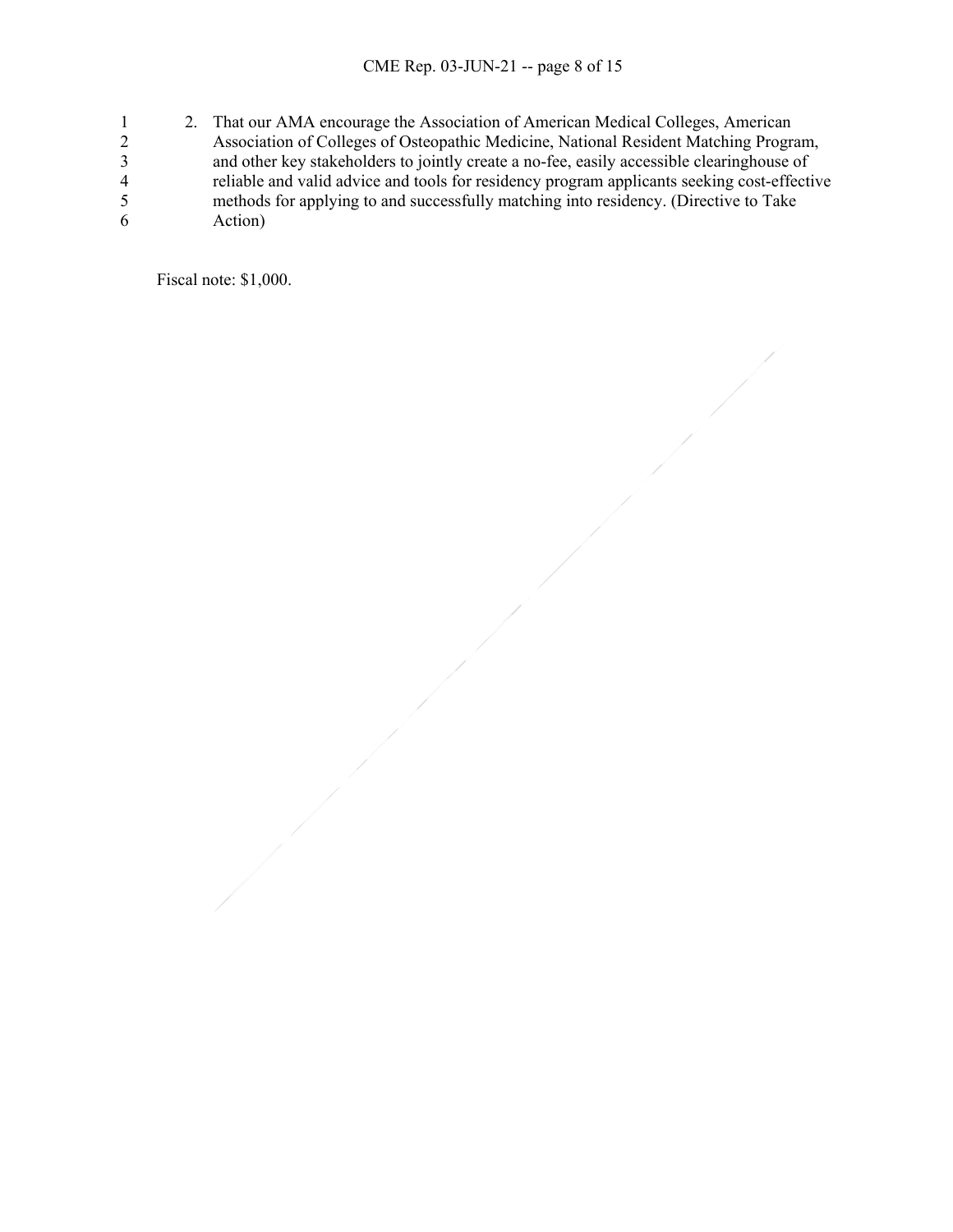1 2. That our AMA encourage the Association of American Medical Colleges, American <br>2 Sessociation of Colleges of Osteopathic Medicine, National Resident Matching Progra 2 Association of Colleges of Osteopathic Medicine, National Resident Matching Program,<br>3 and other key stakeholders to jointly create a no-fee, easily accessible clearinghouse of 3 and other key stakeholders to jointly create a no-fee, easily accessible clearinghouse of reliable and valid advice and tools for residency program applicants seeking cost-effecti 4 reliable and valid advice and tools for residency program applicants seeking cost-effective<br>5 methods for applying to and successfully matching into residency. (Directive to Take 5 methods for applying to and successfully matching into residency. (Directive to Take Action) Action)

Fiscal note: \$1,000.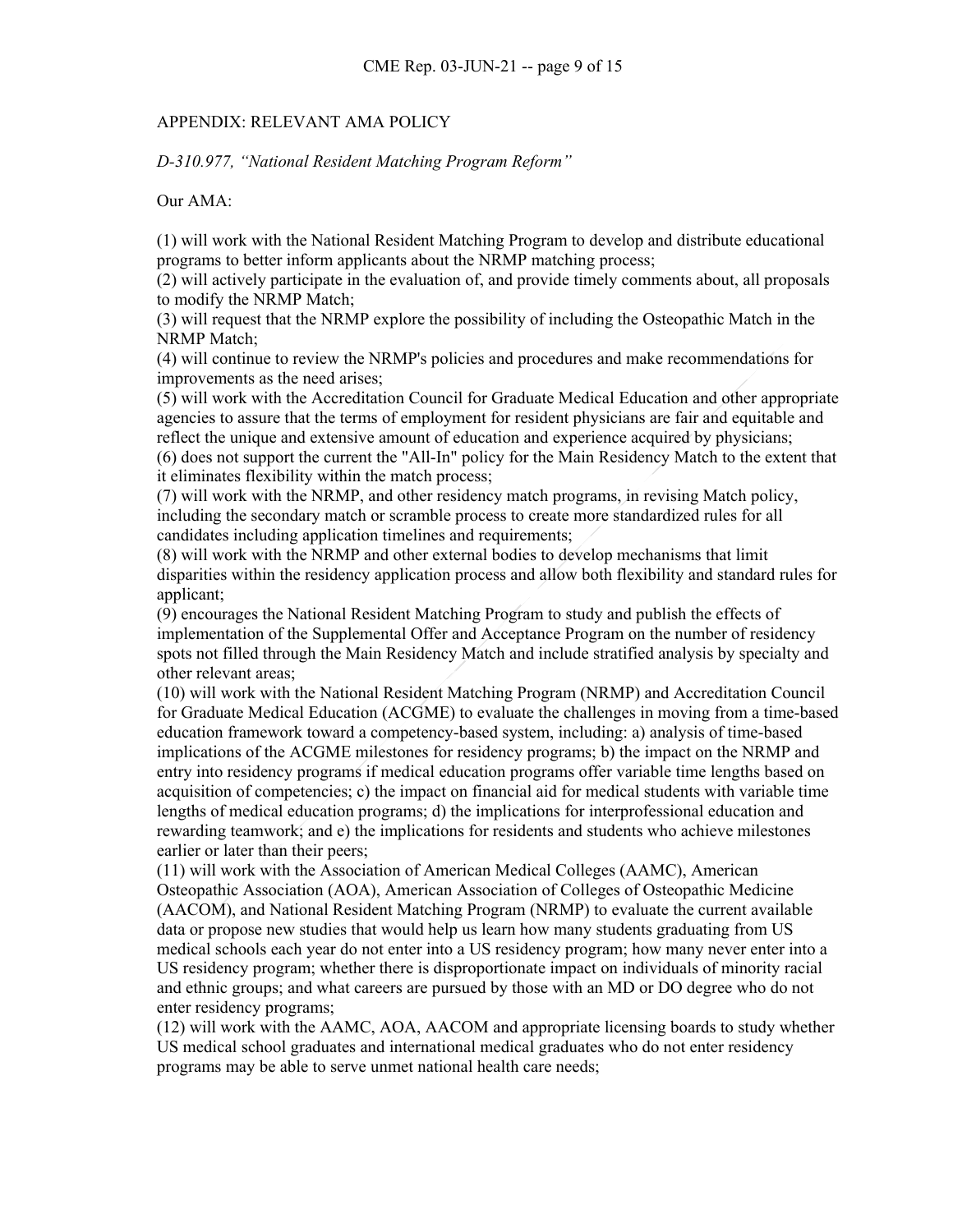#### APPENDIX: RELEVANT AMA POLICY

*D-310.977, "National Resident Matching Program Reform"* 

#### Our AMA:

(1) will work with the National Resident Matching Program to develop and distribute educational programs to better inform applicants about the NRMP matching process;

(2) will actively participate in the evaluation of, and provide timely comments about, all proposals to modify the NRMP Match;

(3) will request that the NRMP explore the possibility of including the Osteopathic Match in the NRMP Match;

(4) will continue to review the NRMP's policies and procedures and make recommendations for improvements as the need arises;

(5) will work with the Accreditation Council for Graduate Medical Education and other appropriate agencies to assure that the terms of employment for resident physicians are fair and equitable and reflect the unique and extensive amount of education and experience acquired by physicians; (6) does not support the current the "All-In" policy for the Main Residency Match to the extent that it eliminates flexibility within the match process;

(7) will work with the NRMP, and other residency match programs, in revising Match policy, including the secondary match or scramble process to create more standardized rules for all candidates including application timelines and requirements;

(8) will work with the NRMP and other external bodies to develop mechanisms that limit disparities within the residency application process and allow both flexibility and standard rules for applicant;

(9) encourages the National Resident Matching Program to study and publish the effects of implementation of the Supplemental Offer and Acceptance Program on the number of residency spots not filled through the Main Residency Match and include stratified analysis by specialty and other relevant areas;

(10) will work with the National Resident Matching Program (NRMP) and Accreditation Council for Graduate Medical Education (ACGME) to evaluate the challenges in moving from a time-based education framework toward a competency-based system, including: a) analysis of time-based implications of the ACGME milestones for residency programs; b) the impact on the NRMP and entry into residency programs if medical education programs offer variable time lengths based on acquisition of competencies; c) the impact on financial aid for medical students with variable time lengths of medical education programs; d) the implications for interprofessional education and rewarding teamwork; and e) the implications for residents and students who achieve milestones earlier or later than their peers;

(11) will work with the Association of American Medical Colleges (AAMC), American Osteopathic Association (AOA), American Association of Colleges of Osteopathic Medicine (AACOM), and National Resident Matching Program (NRMP) to evaluate the current available data or propose new studies that would help us learn how many students graduating from US medical schools each year do not enter into a US residency program; how many never enter into a US residency program; whether there is disproportionate impact on individuals of minority racial and ethnic groups; and what careers are pursued by those with an MD or DO degree who do not enter residency programs;

(12) will work with the AAMC, AOA, AACOM and appropriate licensing boards to study whether US medical school graduates and international medical graduates who do not enter residency programs may be able to serve unmet national health care needs;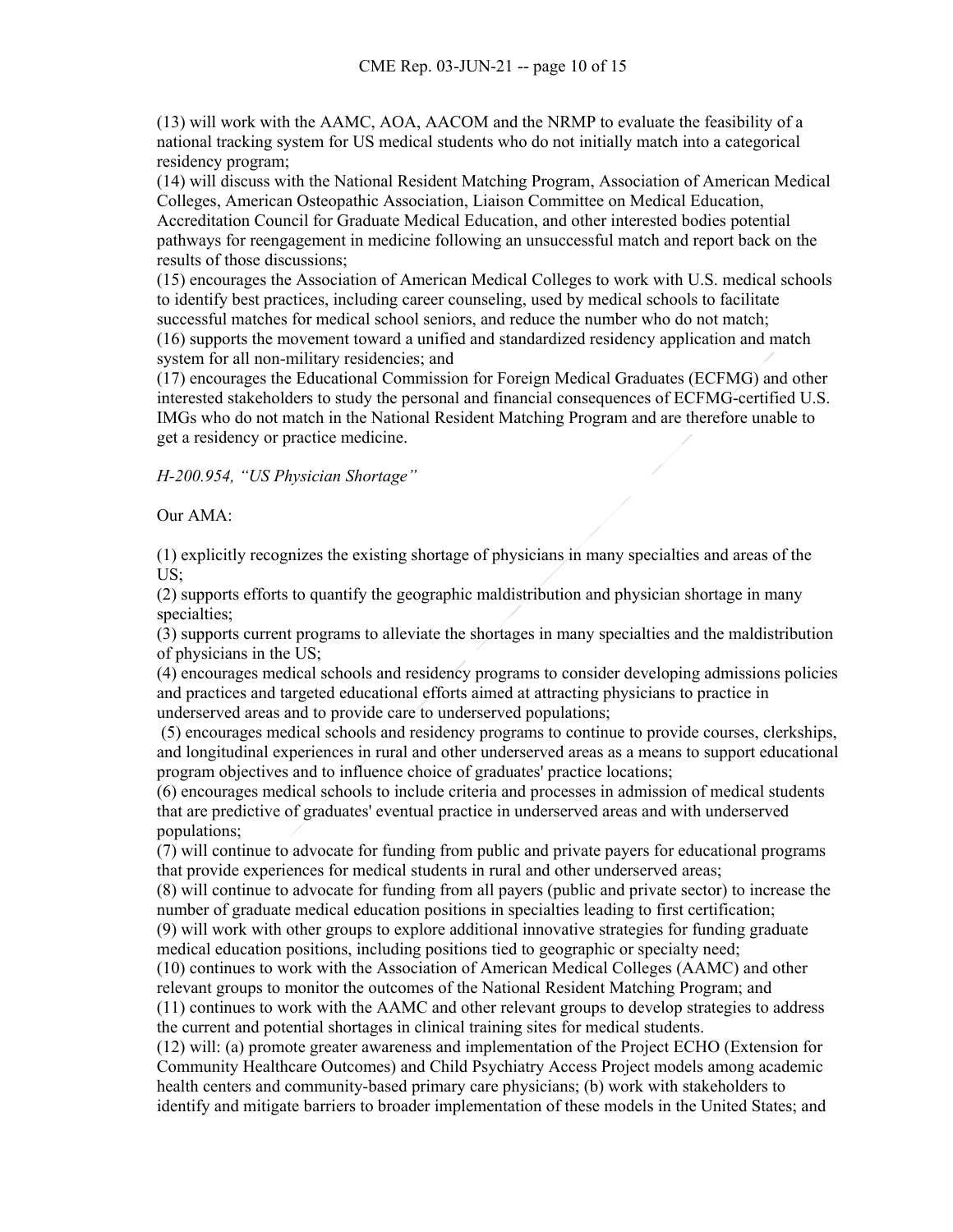(13) will work with the AAMC, AOA, AACOM and the NRMP to evaluate the feasibility of a national tracking system for US medical students who do not initially match into a categorical residency program;

(14) will discuss with the National Resident Matching Program, Association of American Medical Colleges, American Osteopathic Association, Liaison Committee on Medical Education, Accreditation Council for Graduate Medical Education, and other interested bodies potential pathways for reengagement in medicine following an unsuccessful match and report back on the results of those discussions;

(15) encourages the Association of American Medical Colleges to work with U.S. medical schools to identify best practices, including career counseling, used by medical schools to facilitate successful matches for medical school seniors, and reduce the number who do not match; (16) supports the movement toward a unified and standardized residency application and match system for all non-military residencies; and

(17) encourages the Educational Commission for Foreign Medical Graduates (ECFMG) and other interested stakeholders to study the personal and financial consequences of ECFMG-certified U.S. IMGs who do not match in the National Resident Matching Program and are therefore unable to get a residency or practice medicine.

# *H-200.954, "US Physician Shortage"*

Our AMA:

(1) explicitly recognizes the existing shortage of physicians in many specialties and areas of the US;

(2) supports efforts to quantify the geographic maldistribution and physician shortage in many specialties;

(3) supports current programs to alleviate the shortages in many specialties and the maldistribution of physicians in the US;

(4) encourages medical schools and residency programs to consider developing admissions policies and practices and targeted educational efforts aimed at attracting physicians to practice in underserved areas and to provide care to underserved populations;

(5) encourages medical schools and residency programs to continue to provide courses, clerkships, and longitudinal experiences in rural and other underserved areas as a means to support educational program objectives and to influence choice of graduates' practice locations;

(6) encourages medical schools to include criteria and processes in admission of medical students that are predictive of graduates' eventual practice in underserved areas and with underserved populations;

(7) will continue to advocate for funding from public and private payers for educational programs that provide experiences for medical students in rural and other underserved areas;

(8) will continue to advocate for funding from all payers (public and private sector) to increase the number of graduate medical education positions in specialties leading to first certification;

(9) will work with other groups to explore additional innovative strategies for funding graduate medical education positions, including positions tied to geographic or specialty need;

(10) continues to work with the Association of American Medical Colleges (AAMC) and other relevant groups to monitor the outcomes of the National Resident Matching Program; and

(11) continues to work with the AAMC and other relevant groups to develop strategies to address the current and potential shortages in clinical training sites for medical students.

(12) will: (a) promote greater awareness and implementation of the Project ECHO (Extension for Community Healthcare Outcomes) and Child Psychiatry Access Project models among academic health centers and community-based primary care physicians; (b) work with stakeholders to identify and mitigate barriers to broader implementation of these models in the United States; and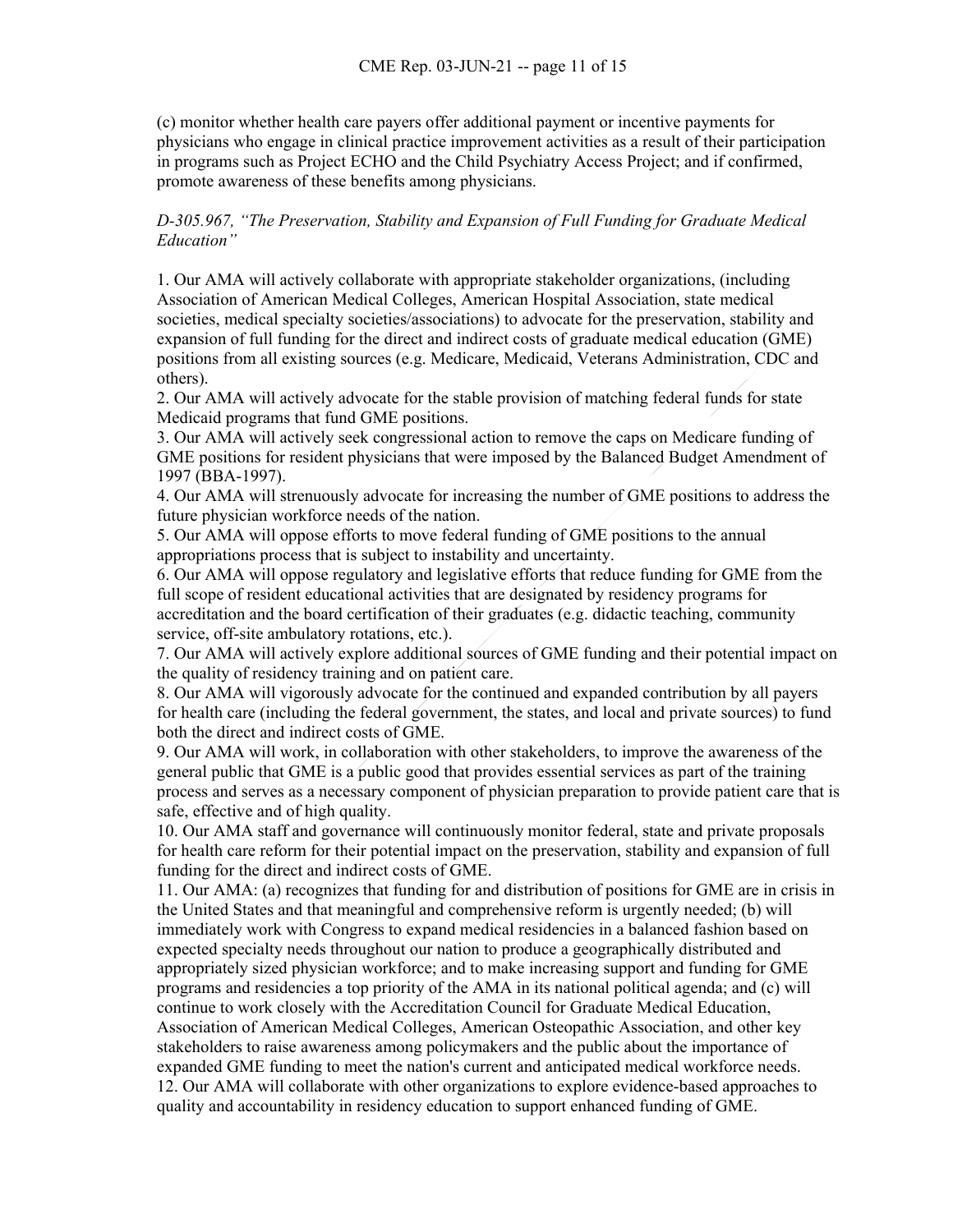(c) monitor whether health care payers offer additional payment or incentive payments for physicians who engage in clinical practice improvement activities as a result of their participation in programs such as Project ECHO and the Child Psychiatry Access Project; and if confirmed, promote awareness of these benefits among physicians.

*D-305.967, "The Preservation, Stability and Expansion of Full Funding for Graduate Medical Education"* 

1. Our AMA will actively collaborate with appropriate stakeholder organizations, (including Association of American Medical Colleges, American Hospital Association, state medical societies, medical specialty societies/associations) to advocate for the preservation, stability and expansion of full funding for the direct and indirect costs of graduate medical education (GME) positions from all existing sources (e.g. Medicare, Medicaid, Veterans Administration, CDC and others).

2. Our AMA will actively advocate for the stable provision of matching federal funds for state Medicaid programs that fund GME positions.

3. Our AMA will actively seek congressional action to remove the caps on Medicare funding of GME positions for resident physicians that were imposed by the Balanced Budget Amendment of 1997 (BBA-1997).

4. Our AMA will strenuously advocate for increasing the number of GME positions to address the future physician workforce needs of the nation.

5. Our AMA will oppose efforts to move federal funding of GME positions to the annual appropriations process that is subject to instability and uncertainty.

6. Our AMA will oppose regulatory and legislative efforts that reduce funding for GME from the full scope of resident educational activities that are designated by residency programs for accreditation and the board certification of their graduates (e.g. didactic teaching, community service, off-site ambulatory rotations, etc.).

7. Our AMA will actively explore additional sources of GME funding and their potential impact on the quality of residency training and on patient care.

8. Our AMA will vigorously advocate for the continued and expanded contribution by all payers for health care (including the federal government, the states, and local and private sources) to fund both the direct and indirect costs of GME.

9. Our AMA will work, in collaboration with other stakeholders, to improve the awareness of the general public that GME is a public good that provides essential services as part of the training process and serves as a necessary component of physician preparation to provide patient care that is safe, effective and of high quality.

10. Our AMA staff and governance will continuously monitor federal, state and private proposals for health care reform for their potential impact on the preservation, stability and expansion of full funding for the direct and indirect costs of GME.

11. Our AMA: (a) recognizes that funding for and distribution of positions for GME are in crisis in the United States and that meaningful and comprehensive reform is urgently needed; (b) will immediately work with Congress to expand medical residencies in a balanced fashion based on expected specialty needs throughout our nation to produce a geographically distributed and appropriately sized physician workforce; and to make increasing support and funding for GME programs and residencies a top priority of the AMA in its national political agenda; and (c) will continue to work closely with the Accreditation Council for Graduate Medical Education, Association of American Medical Colleges, American Osteopathic Association, and other key stakeholders to raise awareness among policymakers and the public about the importance of expanded GME funding to meet the nation's current and anticipated medical workforce needs. 12. Our AMA will collaborate with other organizations to explore evidence-based approaches to quality and accountability in residency education to support enhanced funding of GME.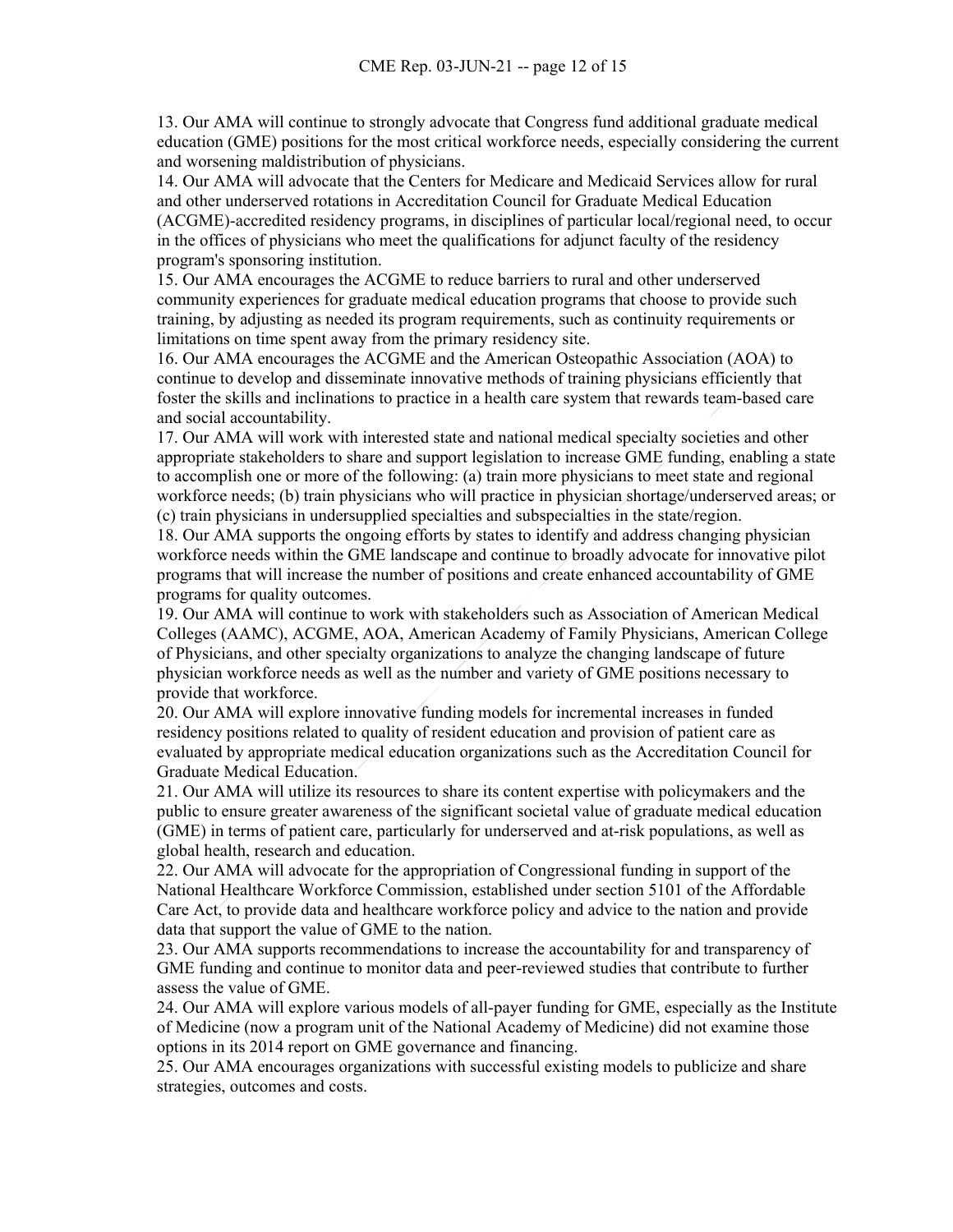13. Our AMA will continue to strongly advocate that Congress fund additional graduate medical education (GME) positions for the most critical workforce needs, especially considering the current and worsening maldistribution of physicians.

14. Our AMA will advocate that the Centers for Medicare and Medicaid Services allow for rural and other underserved rotations in Accreditation Council for Graduate Medical Education (ACGME)-accredited residency programs, in disciplines of particular local/regional need, to occur in the offices of physicians who meet the qualifications for adjunct faculty of the residency program's sponsoring institution.

15. Our AMA encourages the ACGME to reduce barriers to rural and other underserved community experiences for graduate medical education programs that choose to provide such training, by adjusting as needed its program requirements, such as continuity requirements or limitations on time spent away from the primary residency site.

16. Our AMA encourages the ACGME and the American Osteopathic Association (AOA) to continue to develop and disseminate innovative methods of training physicians efficiently that foster the skills and inclinations to practice in a health care system that rewards team-based care and social accountability.

17. Our AMA will work with interested state and national medical specialty societies and other appropriate stakeholders to share and support legislation to increase GME funding, enabling a state to accomplish one or more of the following: (a) train more physicians to meet state and regional workforce needs; (b) train physicians who will practice in physician shortage/underserved areas; or (c) train physicians in undersupplied specialties and subspecialties in the state/region.

18. Our AMA supports the ongoing efforts by states to identify and address changing physician workforce needs within the GME landscape and continue to broadly advocate for innovative pilot programs that will increase the number of positions and create enhanced accountability of GME programs for quality outcomes.

19. Our AMA will continue to work with stakeholders such as Association of American Medical Colleges (AAMC), ACGME, AOA, American Academy of Family Physicians, American College of Physicians, and other specialty organizations to analyze the changing landscape of future physician workforce needs as well as the number and variety of GME positions necessary to provide that workforce.

20. Our AMA will explore innovative funding models for incremental increases in funded residency positions related to quality of resident education and provision of patient care as evaluated by appropriate medical education organizations such as the Accreditation Council for Graduate Medical Education.

21. Our AMA will utilize its resources to share its content expertise with policymakers and the public to ensure greater awareness of the significant societal value of graduate medical education (GME) in terms of patient care, particularly for underserved and at-risk populations, as well as global health, research and education.

22. Our AMA will advocate for the appropriation of Congressional funding in support of the National Healthcare Workforce Commission, established under section 5101 of the Affordable Care Act, to provide data and healthcare workforce policy and advice to the nation and provide data that support the value of GME to the nation.

23. Our AMA supports recommendations to increase the accountability for and transparency of GME funding and continue to monitor data and peer-reviewed studies that contribute to further assess the value of GME.

24. Our AMA will explore various models of all-payer funding for GME, especially as the Institute of Medicine (now a program unit of the National Academy of Medicine) did not examine those options in its 2014 report on GME governance and financing.

25. Our AMA encourages organizations with successful existing models to publicize and share strategies, outcomes and costs.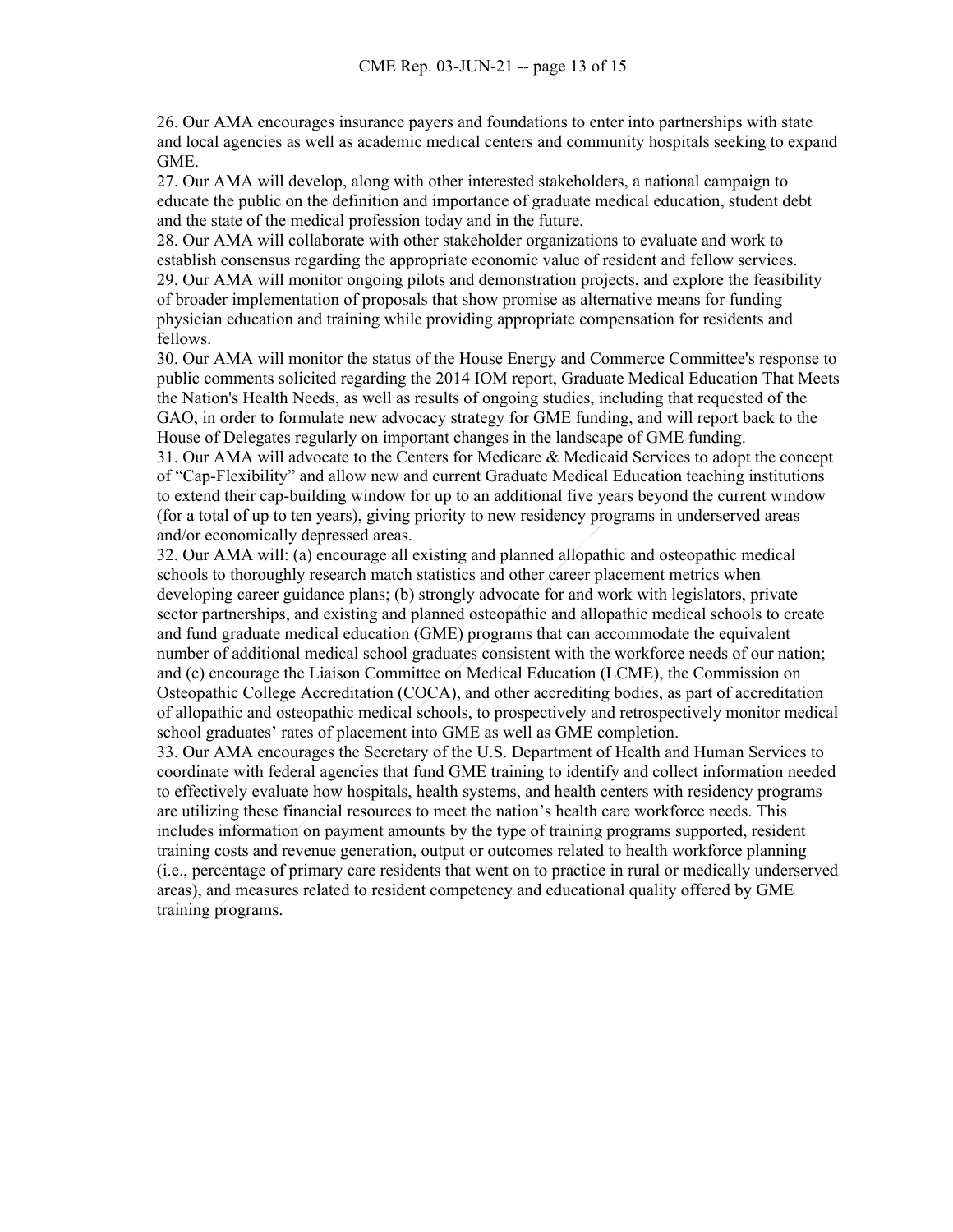26. Our AMA encourages insurance payers and foundations to enter into partnerships with state and local agencies as well as academic medical centers and community hospitals seeking to expand GME.

27. Our AMA will develop, along with other interested stakeholders, a national campaign to educate the public on the definition and importance of graduate medical education, student debt and the state of the medical profession today and in the future.

28. Our AMA will collaborate with other stakeholder organizations to evaluate and work to establish consensus regarding the appropriate economic value of resident and fellow services. 29. Our AMA will monitor ongoing pilots and demonstration projects, and explore the feasibility of broader implementation of proposals that show promise as alternative means for funding physician education and training while providing appropriate compensation for residents and fellows.

30. Our AMA will monitor the status of the House Energy and Commerce Committee's response to public comments solicited regarding the 2014 IOM report, Graduate Medical Education That Meets the Nation's Health Needs, as well as results of ongoing studies, including that requested of the GAO, in order to formulate new advocacy strategy for GME funding, and will report back to the House of Delegates regularly on important changes in the landscape of GME funding.

31. Our AMA will advocate to the Centers for Medicare & Medicaid Services to adopt the concept of "Cap-Flexibility" and allow new and current Graduate Medical Education teaching institutions to extend their cap-building window for up to an additional five years beyond the current window (for a total of up to ten years), giving priority to new residency programs in underserved areas and/or economically depressed areas.

32. Our AMA will: (a) encourage all existing and planned allopathic and osteopathic medical schools to thoroughly research match statistics and other career placement metrics when developing career guidance plans; (b) strongly advocate for and work with legislators, private sector partnerships, and existing and planned osteopathic and allopathic medical schools to create and fund graduate medical education (GME) programs that can accommodate the equivalent number of additional medical school graduates consistent with the workforce needs of our nation; and (c) encourage the Liaison Committee on Medical Education (LCME), the Commission on Osteopathic College Accreditation (COCA), and other accrediting bodies, as part of accreditation of allopathic and osteopathic medical schools, to prospectively and retrospectively monitor medical school graduates' rates of placement into GME as well as GME completion.

33. Our AMA encourages the Secretary of the U.S. Department of Health and Human Services to coordinate with federal agencies that fund GME training to identify and collect information needed to effectively evaluate how hospitals, health systems, and health centers with residency programs are utilizing these financial resources to meet the nation's health care workforce needs. This includes information on payment amounts by the type of training programs supported, resident training costs and revenue generation, output or outcomes related to health workforce planning (i.e., percentage of primary care residents that went on to practice in rural or medically underserved areas), and measures related to resident competency and educational quality offered by GME training programs.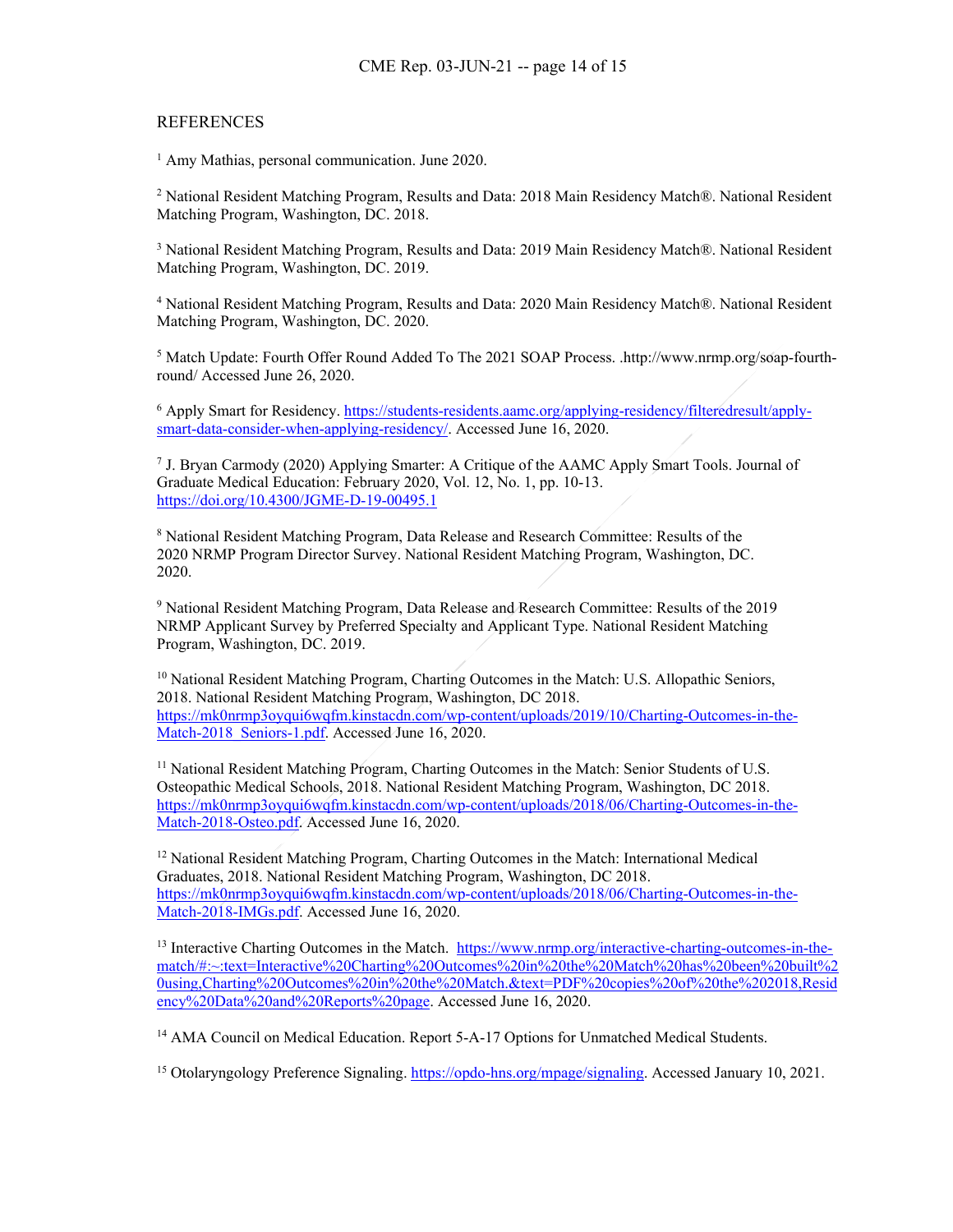#### REFERENCES

<sup>1</sup> Amy Mathias, personal communication. June 2020.

<sup>2</sup> National Resident Matching Program, Results and Data: 2018 Main Residency Match®. National Resident Matching Program, Washington, DC. 2018.

<sup>3</sup> National Resident Matching Program, Results and Data: 2019 Main Residency Match®. National Resident Matching Program, Washington, DC. 2019.

<sup>4</sup> National Resident Matching Program, Results and Data: 2020 Main Residency Match®. National Resident Matching Program, Washington, DC. 2020.

<sup>5</sup> Match Update: Fourth Offer Round Added To The 2021 SOAP Process. .http://www.nrmp.org/soap-fourthround/ Accessed June 26, 2020.

<sup>6</sup> Apply Smart for Residency. [https://students-residents.aamc.org/applying-residency/filteredresult/apply](https://students-residents.aamc.org/applying-residency/filteredresult/apply-smart-data-consider-when-applying-residency/)[smart-data-consider-when-applying-residency/.](https://students-residents.aamc.org/applying-residency/filteredresult/apply-smart-data-consider-when-applying-residency/) Accessed June 16, 2020.

<sup>7</sup> J. Bryan Carmody (2020) Applying Smarter: A Critique of the AAMC Apply Smart Tools. Journal of Graduate Medical Education: February 2020, Vol. 12, No. 1, pp. 10-13. <https://doi.org/10.4300/JGME-D-19-00495.1>

<sup>8</sup> National Resident Matching Program, Data Release and Research Committee: Results of the 2020 NRMP Program Director Survey. National Resident Matching Program, Washington, DC. 2020.

<sup>9</sup> National Resident Matching Program, Data Release and Research Committee: Results of the 2019 NRMP Applicant Survey by Preferred Specialty and Applicant Type. National Resident Matching Program, Washington, DC. 2019.

<sup>10</sup> National Resident Matching Program, Charting Outcomes in the Match: U.S. Allopathic Seniors, 2018. National Resident Matching Program, Washington, DC 2018. [https://mk0nrmp3oyqui6wqfm.kinstacdn.com/wp-content/uploads/2019/10/Charting-Outcomes-in-the-](https://mk0nrmp3oyqui6wqfm.kinstacdn.com/wp-content/uploads/2019/10/Charting-Outcomes-in-the-Match-2018_Seniors-1.pdf)Match-2018 Seniors-1.pdf. Accessed June 16, 2020.

<sup>11</sup> National Resident Matching Program, Charting Outcomes in the Match: Senior Students of U.S. Osteopathic Medical Schools, 2018. National Resident Matching Program, Washington, DC 2018. [https://mk0nrmp3oyqui6wqfm.kinstacdn.com/wp-content/uploads/2018/06/Charting-Outcomes-in-the-](https://mk0nrmp3oyqui6wqfm.kinstacdn.com/wp-content/uploads/2018/06/Charting-Outcomes-in-the-Match-2018-Osteo.pdf)[Match-2018-Osteo.pdf.](https://mk0nrmp3oyqui6wqfm.kinstacdn.com/wp-content/uploads/2018/06/Charting-Outcomes-in-the-Match-2018-Osteo.pdf) Accessed June 16, 2020.

 $12$  National Resident Matching Program, Charting Outcomes in the Match: International Medical Graduates, 2018. National Resident Matching Program, Washington, DC 2018. [https://mk0nrmp3oyqui6wqfm.kinstacdn.com/wp-content/uploads/2018/06/Charting-Outcomes-in-the-](https://mk0nrmp3oyqui6wqfm.kinstacdn.com/wp-content/uploads/2018/06/Charting-Outcomes-in-the-Match-2018-IMGs.pdf)[Match-2018-IMGs.pdf.](https://mk0nrmp3oyqui6wqfm.kinstacdn.com/wp-content/uploads/2018/06/Charting-Outcomes-in-the-Match-2018-IMGs.pdf) Accessed June 16, 2020.

<sup>13</sup> Interactive Charting Outcomes in the Match. [https://www.nrmp.org/interactive-charting-outcomes-in-the](https://www.nrmp.org/interactive-charting-outcomes-in-the-match/#:%7E:text=Interactive%20Charting%20Outcomes%20in%20the%20Match%20has%20been%20built%20using,Charting%20Outcomes%20in%20the%20Match.&text=PDF%20copies%20of%20the%202018,Residency%20Data%20and%20Reports%20page)[match/#:~:text=Interactive%20Charting%20Outcomes%20in%20the%20Match%20has%20been%20built%2](https://www.nrmp.org/interactive-charting-outcomes-in-the-match/#:%7E:text=Interactive%20Charting%20Outcomes%20in%20the%20Match%20has%20been%20built%20using,Charting%20Outcomes%20in%20the%20Match.&text=PDF%20copies%20of%20the%202018,Residency%20Data%20and%20Reports%20page) [0using,Charting%20Outcomes%20in%20the%20Match.&text=PDF%20copies%20of%20the%202018,Resid](https://www.nrmp.org/interactive-charting-outcomes-in-the-match/#:%7E:text=Interactive%20Charting%20Outcomes%20in%20the%20Match%20has%20been%20built%20using,Charting%20Outcomes%20in%20the%20Match.&text=PDF%20copies%20of%20the%202018,Residency%20Data%20and%20Reports%20page) [ency%20Data%20and%20Reports%20page.](https://www.nrmp.org/interactive-charting-outcomes-in-the-match/#:%7E:text=Interactive%20Charting%20Outcomes%20in%20the%20Match%20has%20been%20built%20using,Charting%20Outcomes%20in%20the%20Match.&text=PDF%20copies%20of%20the%202018,Residency%20Data%20and%20Reports%20page) Accessed June 16, 2020.

<sup>14</sup> AMA Council on Medical Education. Report 5-A-17 Options for Unmatched Medical Students.

<sup>15</sup> Otolaryngology Preference Signaling. [https://opdo-hns.org/mpage/signaling.](https://opdo-hns.org/mpage/signaling) Accessed January 10, 2021.